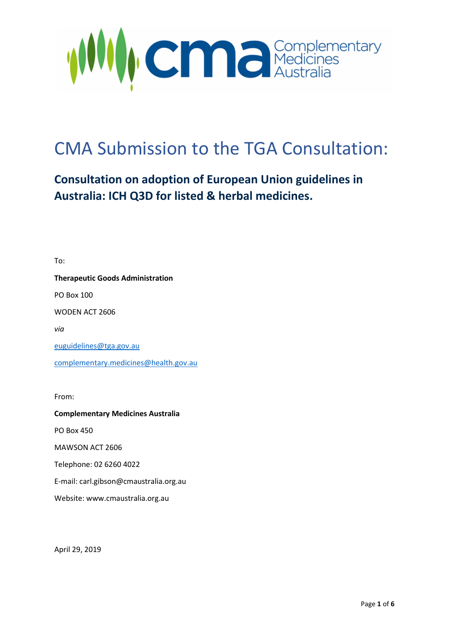

# CMA Submission to the TGA Consultation:

# **Consultation on adoption of European Union guidelines in Australia: ICH Q3D for listed & herbal medicines.**

To: **Therapeutic Goods Administration** PO Box 100 WODEN ACT 2606 *via* [euguidelines@tga.gov.au](mailto:euguidelines@tga.gov.au) [complementary.medicines@health.gov.au](mailto:complementary.medicines@health.gov.au)

From:

**Complementary Medicines Australia** 

PO Box 450

MAWSON ACT 2606

Telephone: 02 6260 4022

E-mail: carl.gibson@cmaustralia.org.au

Website: www.cmaustralia.org.au

April 29, 2019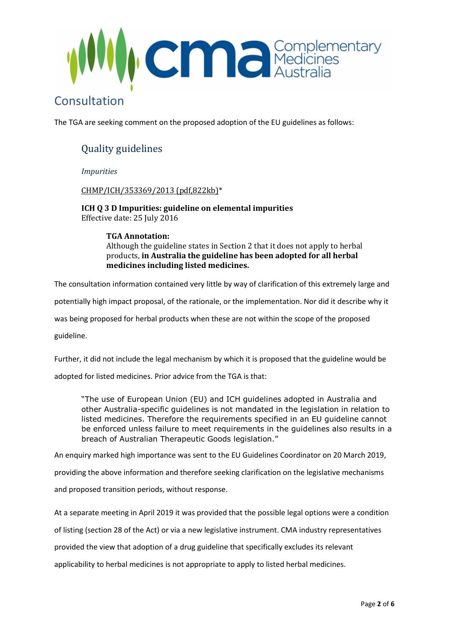

### Consultation

The TGA are seeking comment on the proposed adoption of the EU guidelines as follows:

### Quality guidelines

#### *Impurities*

[CHMP/ICH/353369/2013 \(pdf,822kb\)\\*](https://www.ema.europa.eu/en/documents/scientific-guideline/international-conference-harmonisation-technical-requirements-registration-pharmaceuticals-human-use_en-21.pdf)

**ICH Q 3 D Impurities: guideline on elemental impurities** Effective date: 25 July 2016

> **TGA Annotation:** Although the guideline states in Section 2 that it does not apply to herbal products, **in Australia the guideline has been adopted for all herbal medicines including listed medicines.**

The consultation information contained very little by way of clarification of this extremely large and potentially high impact proposal, of the rationale, or the implementation. Nor did it describe why it was being proposed for herbal products when these are not within the scope of the proposed guideline.

Further, it did not include the legal mechanism by which it is proposed that the guideline would be

adopted for listed medicines. Prior advice from the TGA is that:

"The use of European Union (EU) and ICH guidelines adopted in Australia and other Australia-specific guidelines is not mandated in the legislation in relation to listed medicines. Therefore the requirements specified in an EU guideline cannot be enforced unless failure to meet requirements in the guidelines also results in a breach of Australian Therapeutic Goods legislation."

An enquiry marked high importance was sent to the EU Guidelines Coordinator on 20 March 2019,

providing the above information and therefore seeking clarification on the legislative mechanisms

and proposed transition periods, without response.

At a separate meeting in April 2019 it was provided that the possible legal options were a condition

of listing (section 28 of the Act) or via a new legislative instrument. CMA industry representatives

provided the view that adoption of a drug guideline that specifically excludes its relevant

applicability to herbal medicines is not appropriate to apply to listed herbal medicines.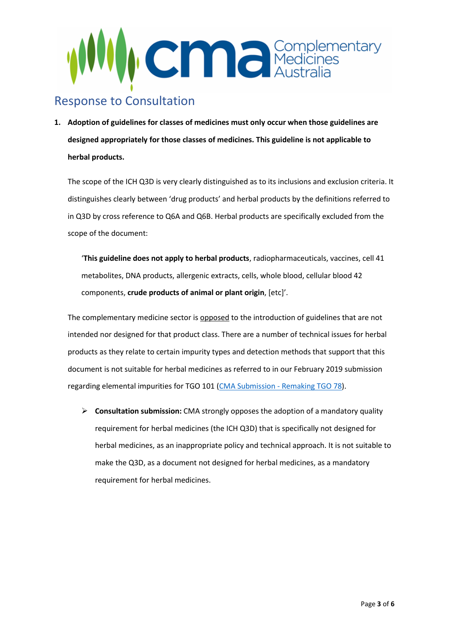

## Response to Consultation

**1. Adoption of guidelines for classes of medicines must only occur when those guidelines are designed appropriately for those classes of medicines. This guideline is not applicable to herbal products.**

The scope of the ICH Q3D is very clearly distinguished as to its inclusions and exclusion criteria. It distinguishes clearly between 'drug products' and herbal products by the definitions referred to in Q3D by cross reference to Q6A and Q6B. Herbal products are specifically excluded from the scope of the document:

'**This guideline does not apply to herbal products**, radiopharmaceuticals, vaccines, cell 41 metabolites, DNA products, allergenic extracts, cells, whole blood, cellular blood 42 components, **crude products of animal or plant origin**, [etc]'.

The complementary medicine sector is opposed to the introduction of guidelines that are not intended nor designed for that product class. There are a number of technical issues for herbal products as they relate to certain impurity types and detection methods that support that this document is not suitable for herbal medicines as referred to in our February 2019 submission regarding elemental impurities for TGO 101 [\(CMA Submission -](http://cmaustralia.org.au/resources/Documents/Consultation%20documents/CMA%20Submission%20to%20TGO%20101%20_%20Remaking%20of%20TGO%2078%20Consultation%208%20Feb%202019%20Final.pdf) Remaking TGO 78).

➢ **Consultation submission:** CMA strongly opposes the adoption of a mandatory quality requirement for herbal medicines (the ICH Q3D) that is specifically not designed for herbal medicines, as an inappropriate policy and technical approach. It is not suitable to make the Q3D, as a document not designed for herbal medicines, as a mandatory requirement for herbal medicines.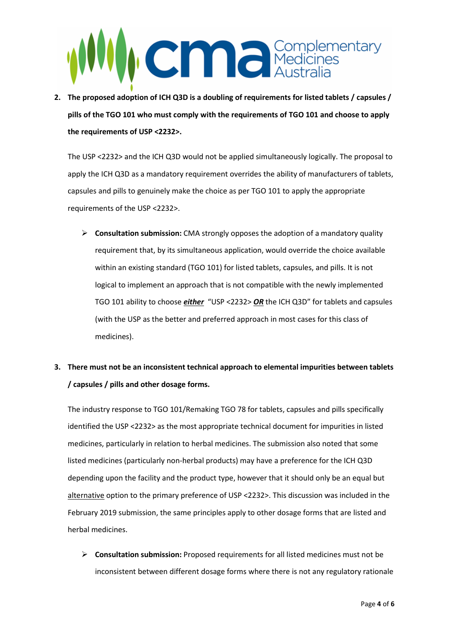

**2. The proposed adoption of ICH Q3D is a doubling of requirements for listed tablets / capsules / pills of the TGO 101 who must comply with the requirements of TGO 101 and choose to apply the requirements of USP <2232>.**

The USP <2232> and the ICH Q3D would not be applied simultaneously logically. The proposal to apply the ICH Q3D as a mandatory requirement overrides the ability of manufacturers of tablets, capsules and pills to genuinely make the choice as per TGO 101 to apply the appropriate requirements of the USP <2232>.

➢ **Consultation submission:** CMA strongly opposes the adoption of a mandatory quality requirement that, by its simultaneous application, would override the choice available within an existing standard (TGO 101) for listed tablets, capsules, and pills. It is not logical to implement an approach that is not compatible with the newly implemented TGO 101 ability to choose *either* "USP <2232> *OR* the ICH Q3D" for tablets and capsules (with the USP as the better and preferred approach in most cases for this class of medicines).

### **3. There must not be an inconsistent technical approach to elemental impurities between tablets / capsules / pills and other dosage forms.**

The industry response to TGO 101/Remaking TGO 78 for tablets, capsules and pills specifically identified the USP <2232> as the most appropriate technical document for impurities in listed medicines, particularly in relation to herbal medicines. The submission also noted that some listed medicines (particularly non-herbal products) may have a preference for the ICH Q3D depending upon the facility and the product type, however that it should only be an equal but alternative option to the primary preference of USP <2232>. This discussion was included in the February 2019 submission, the same principles apply to other dosage forms that are listed and herbal medicines.

➢ **Consultation submission:** Proposed requirements for all listed medicines must not be inconsistent between different dosage forms where there is not any regulatory rationale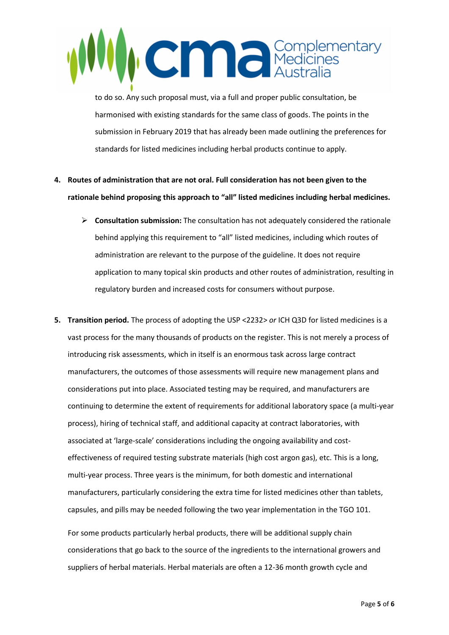

to do so. Any such proposal must, via a full and proper public consultation, be harmonised with existing standards for the same class of goods. The points in the submission in February 2019 that has already been made outlining the preferences for standards for listed medicines including herbal products continue to apply.

- **4. Routes of administration that are not oral. Full consideration has not been given to the rationale behind proposing this approach to "all" listed medicines including herbal medicines.**
	- ➢ **Consultation submission:** The consultation has not adequately considered the rationale behind applying this requirement to "all" listed medicines, including which routes of administration are relevant to the purpose of the guideline. It does not require application to many topical skin products and other routes of administration, resulting in regulatory burden and increased costs for consumers without purpose.
- **5. Transition period.** The process of adopting the USP <2232> *or* ICH Q3D for listed medicines is a vast process for the many thousands of products on the register. This is not merely a process of introducing risk assessments, which in itself is an enormous task across large contract manufacturers, the outcomes of those assessments will require new management plans and considerations put into place. Associated testing may be required, and manufacturers are continuing to determine the extent of requirements for additional laboratory space (a multi-year process), hiring of technical staff, and additional capacity at contract laboratories, with associated at 'large-scale' considerations including the ongoing availability and costeffectiveness of required testing substrate materials (high cost argon gas), etc. This is a long, multi-year process. Three years is the minimum, for both domestic and international manufacturers, particularly considering the extra time for listed medicines other than tablets, capsules, and pills may be needed following the two year implementation in the TGO 101.

For some products particularly herbal products, there will be additional supply chain considerations that go back to the source of the ingredients to the international growers and suppliers of herbal materials. Herbal materials are often a 12-36 month growth cycle and